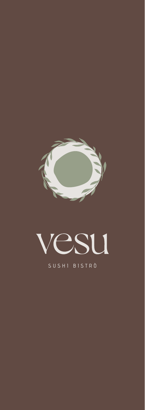



| SUSHI BISTRÒ |  |  |  |  |  |
|--------------|--|--|--|--|--|
|              |  |  |  |  |  |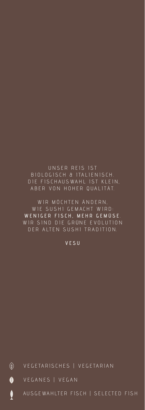### $\circledast$ VEGETARISCHES | VEGETARIAN

### $\bullet$ VEGANES | VEGAN

ţ AUSGEWAHLTER FISCH | SELECTED FISH

# VESU

DER ALTEN SUSHI TRADITION.

WIR MÖCHTEN ÄNDERN. WIE SUSHI GEMACHT WIRD: WENIGER FISCH, MEHR GEMÜSE. WIR SIND DIE GRÜNE EVOLUTION

UNSER REIS IST BIOLOGISCH & ITALIENISCH. DIE FISCHAUSWAHL IST KLEIN, ABER VON HOHER QUALITÄT.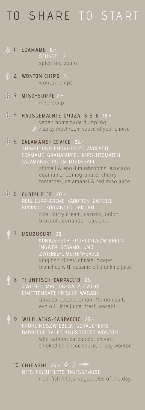# TO SHARE TO START

- **EDAMAME 6.-**  1. SCHARF + 2. spicy soy beans
- **WONTON CHIPS 4.-** 2. wonton chips
- **MISO-SUPPE 7.-** 3. miso soup
- **HAUSGEMACHTE GYOZA 5 STK 18.-** 4. vegan homemade dumpling  $\mathcal{I}/\mathcal{S}$  spicy mushroom sauce of your choice
	- **CALAMANSI CEVICE 22.-** 5. SHIMEJI UND ENOKI-PILZE, AVOCADO, EDAMAME, GRANATAPFEL, KIRSCHTOMATEN CALAMANSI, ROTEM MISO-SAFT shimeji & enoki mushrooms, avocado

 edamame, pomegranate, cherry tomatoes, calamansi & red miso juice

**CURRY RICE 20.-**  6. REIS, CURRYCREME, KAROTTEN, ZWIEBEL, BROKKOLI, KORIANDER, PAK CHOI rice, curry cream, carrots, onion, broccoli, coriander, pak choi **USUZUKURI 23.-** 7.

> KÖNIGSFISCH, FRÜHLINGSZWIEBELN INGWER, SESAMÖL UND ZWIEBEL-LIMETTEN-SAUCE king fish slices, chives, ginger blanched with sesame oil and lime juice

- **THUNFISCH-CARPACCIO 23.-** ZWIEBEL, MALDON-SALZ, EVO-ÖL, LIMETTENSAFT, FRISCHE WASABI tuna carpaccio, onion, Maldon salt, evo oil, lime juice, fresh wasabi 8.
- **WILDLACHS-CARPACCIO 23.-** 9. FRÜHLINGSZWIEBELN, GERÄUCHERTE BARBECUE SAUCE, KNUSPRIGER WONTON wild salmon carpaccio, chives, smoked barbecue sauce, crispy wonton
	- **CHIRASHI 23.-** 10. rice, fish fillets, vegetables of the day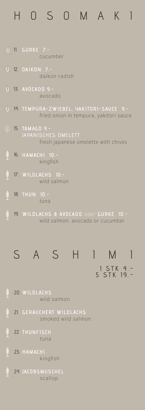# HOSOMAKI

|                | 11. GURKE 7.-<br>cucumber                                                         |
|----------------|-----------------------------------------------------------------------------------|
| <mark>《</mark> | 12. DAIKON 7.-<br>daikon radish                                                   |
| $\circledast$  | 13. AVOCADO 9.-<br>avocado                                                        |
| (个             | 14. TEMPURA-ZWIEBEL, YAKITORI-SAUCE 9.-<br>fried onion in tempura, yakitori sauce |
|                | 15. TAMAGO 9.-<br>JAPANISCHES OMELETT<br>fresh japanese omelette with chives      |
|                | 16. HAMACH1 10.-<br>kingfish                                                      |
|                | 17. WILDLACHS 10.-<br>wild salmon                                                 |
|                |                                                                                   |

- **THUN 10.-** 18. tuna
- **WILDLACHS & AVOCADO** oder **GURKE 10.-** 19. wild salmon, avocado or cucumber



- 20. **WILDLACHS** wild salmon
- 21. **GERÄUCHERT WILDLACHS** smoked wild salmon
- $\mathbf{\hat{L}}$ 22. **THUNFISCH** tuna
- $\frac{1}{2}$ 23. **HAMACHI** kingfish
	- 24. **JACOBSMUSCHEL** scallop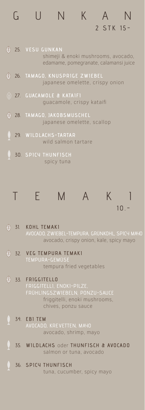|    | 2 STK 15-                                                                                       |
|----|-------------------------------------------------------------------------------------------------|
| (个 | 25. VESU GUNKAN<br>shimeji & enoki mushrooms, avocado,<br>edamame, pomegranate, calamansi juice |
| (个 | 26. TAMAGO, KNUSPRIGE ZWIEBEL<br>japanese omelette, crispy onion                                |
|    | $\circledDownarrow$ 27. GUACAMOLE & KATAIFI<br>guacamole, crispy kataifi                        |
|    | 28. TAMAGO, JAKOBSMUSCHEL<br>japanese omelette, scallop                                         |
|    | 29. WILDLACHS-TARTAR<br>wild salmon tartare                                                     |
|    | 30. SPICY THUNFISCH<br>spicy tuna                                                               |

GUNKAN



- (4) 31. **KOHL TEMAKI**  AVOCADO, ZWIEBEL-TEMPURA, GRÜNKOHL, SPICY MAYO avocado, crispy onion, kale, spicy mayo
- (4) 32. **VEG TEMPURA TEMAKI** tempura fried vegetables
- $\circledR$ 33. **FRIGGITELLO**  FRIGGITELLI, ENOKI-PILZE, FRÜHLINGSZWIEBELN, PONZU-SAUCE friggitelli, enoki mushrooms, chives, ponzu sauce
	- 34. **EBI TEM**  AVOCADO, KREVETTEN, MAYO avocado, shrimp, mayo
	- 35. **WILDLACHS** oder **THUNFISCH & AVOCADO** salmon or tuna, avocado
	- 36. **SPICY THUNFISCH**  tuna, cucumber, spicy mayo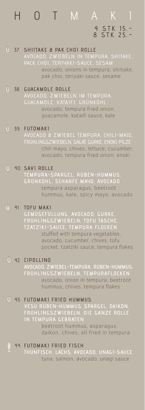# HOT MAKI 4 STK 15.- 8 STK 25.-

### 37. **SHIITAKE & PAK CHOI ROLLE**

AVOCADO, ZWIEBELN IN TEMPURA, SHITAKE, PACK CHOI, TERIYAKI-SAUCE, SESAM

avocado, onions in tempura, shiitake, pak choi, teriyaki sauce, sesame

### 38. **GUACAMOLE ROLLE**

AVOCADO, ZWIEBELN IM TEMPURA, GUACAMOLE, KATAIFI, GRÜNKOHL avocado, tempura fried onion, guacamole, kataifi sauce, kale

### $\circledast$ 39. **FUTOMAKI**

AVOCADO & ZWIEBEL TEMPURA, CHILI-MAJO, FRÜHLINGSZWIEBELN, SALAT, GURKE, ENOKI PILZE chili mayo, chives, lettuce, cucumber, avocado, tempura fried onion, enoki

### 40. **SAVI ROLLE**

**TEMPURA-SPARGEL, RÜBEN-HUMMUS, GRÜNKOHL, SCHARFE MAYO, AVOCADO** tempura asparagus, beetroot hummus, kale, spicy mayo, avocado

### $41.$ **TOFU MAKI**

**GEMÜSEFÜLLUNG, AVOCADO, GURKE, FRÜHLINGSZWIEBELN, TOFU TASCHE, TZATZIKI-SAUCE, TEMPURA FLOCKEN** stuffed with tempura vegetables, avocado, cucumber, chives, tofu pocket, tzatziki sauce, tempura flakes

### 42. **CIPOLLINO**

**AVOCADO, ZWIEBEL-TEMPURA, RÜBEN-HUMMUS, FRÜHLINGSZWIEBELN, TEMPURAFLOCKEN** avocado, onion in tempura, beetroot hummus, chives, tempura flakes

### 43. **FUTOMAKI FRIED HUMMUS**

**VESU RÜBEN-HUMMUS, SPARGEL, DAIKON, FRÜHLINGSZWIEBELN, DIE GANZE ROLLE IN TEMPURA GEBRATE**  beetroot hummus, asparagus, daikon, chives, all fried in tempura

44. **FUTOMAKI FRIED FISCH THUNFISCH, LACHS, AVOCADO, UNAGI-SAUCE** tuna, salmon, avocado, unagi sauce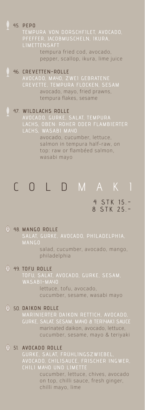# 45. **PEPO**

PFEFFER, JACOBMUSCHELN, IKURA, LIMETTENSAFT

> tempura fried cod, avocado, pepper, scallop, ikura, lime juice

### 46. **CREVETTEN-ROLLE**  AVOCADO, MAYO, ZWEI GEBRATENE CREVETTE, TEMPURA FLOCKEN, SESAM avocado, mayo, fried prawns, tempura flakes, sesame

### 47. **WILDLACHS ROLLE**

AVOCADO, GURKE, SALAT, TEMPURA LACHS, OBEN: ROHER ODER FLAMBIERTER LACHS, WASABI MAYO

> avocado, cucumber, lettuce, salmon in tempura half-raw, on top: raw or flambéed salmon, wasabi mayo

# COLD MAKI 4 STK 15.-

# 48. **MANGO ROLLE**  MANGO

 salad, cucumber, avocado, mango, philadelphia

8 STK 25.-

### 49. **TOFU ROLLE**

TOFU, SALAT, AVOCADO, GURKE, SESAM, WASABI-MAYO lettuce, tofu, avocado, cucumber, sesame, wasabi mayo

### 50. **DAIKON ROLLE**

MARINIERTER DAIKON RETTICH, AVOCADO, GURKE, SALAT, SESAM, MAYO & TERIYAKI SAUCE marinated daikon, avocado, lettuce, cucumber, sesame, mayo & teriyaki

### 51. **AVOCADO ROLLE**

GURKE, SALAT, FRÜHLINGSZWIEBEL, AVOCADO, CHILISAUCE, FRISCHER INGWER, CHILI MAYO UND LIMETTE

> cucumber, lettuce, chives, avocado on top, chilli sauce, fresh ginger, chilli mayo, lime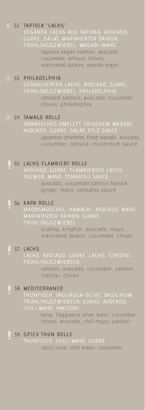## 52. **TAPIOCA "LACHS"**

VEGANER LACHS AUS TAPIOKA, AVOCADO, GURKE, SALAT, MARINIERTER DAIKON, FRÜHLINGSZWIEBEL, WASABI-MAYO tapioca vegan salmon, avocado, cucumber, lettuce, chives,

marinated daikon, wasabi mayo

### 53. **PHILADELPHIA**

GERÄUCHERTER LACHS, AVOCADO, GURKE, FRÜHLINGSZWIEBEL, PHILADELPHIA smoked salmon, avocado, cucumber, chives, philadelphia

### $<sup>(1)</sup>$  54.</sup> **TAMAGO ROLLE**

AVOCADO, GURKE, SALAT, PILZ SAUCE japanese omelette, fresh wasabi, avocado, cucumber, lettuce, mushroom sauce

### 55. **LACHS FLAMBIERT ROLLE**

AVOCADO, GURKE, FLAMBIERTER LACHS, INGWER, MAYO, TONKATSU SAUCE avocado, cucumber,salmon flambé, ginger, mayo, tonkatsu sauce

### 56. **KAPA ROLLE**

JAKOBSMUSCHEL, HAMACHI, AVOCADO, MAYO, FRÜHLINGSZWIEBEL scallop, kingfish, avocado, mayo, marinated daikon, cucumber, chives

## 57. **LACHS**

LACHS, AVOCADO, GURKE, LACHS, TZATZIKI, FRÜHLINGSZWIEBELN salmon, avocado, cucumber, salmon, tzatziki, chives

### 58. **MEDITERRANEO**

FRÜHLINGSZWIEBELN, GURKE, AVOCADO, CHILI MAYO, YAKITORI

> tuna, Taggiasca olive, basil, cucumber chives, avocado, chili mayo, yakitori

### 59. **SPICY THUN ROLLE**

THUNFISCH, CHILI MAYO, GURKE spicy tuna, chili mayo, cucumber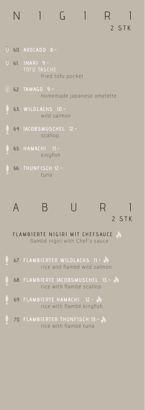# 2 STK NIGIRI

- 60. **AVOCADO 8.-**
- (4) 61. **INARI 9.** fried tofu pocket
- 62. **TAMAGO 9.** homemade japanese omelette
- 63. **WILDLACHS 10.** wild salmon
- 64. **JACOBSMUSCHEL 12.** scallop
- 65. **HAMACHI 11.** kingfish
- 66. **THUNFISCH 12.** tuna



69. **FLAMBIERTE HAMACHI 12.** rice with flambé kingfish

70. **FLAMBIERTER THUNFISCH 13.** rice with flambé tuna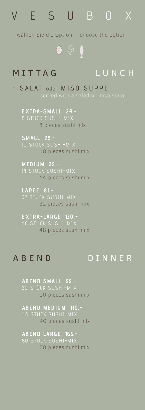# VESU BOX

wählen Sie die Option | choose the option

 $\begin{array}{ccc} \bullet & \circledast & \bullet \\ \end{array}$ 

# MITTAG LUNCH

+ SALAT oder MISO SUPPE

**EXTRA-SMALL 24.-** 8 pieces sushi mix

**SMALL 28.-** 10 pieces sushi mix

**MEDIUM 35.-** 14 pieces sushi mix

**LARGE 81.-** 32 STÜCK SUSHI-MIX 32 pieces sushi mix

**EXTRA-LARGE 120.-** 48 pieces sushi mix

# ABEND DINNER

**ABEND SMALL 55.-** 20 STÜCK SUSHI-MIX 20 pieces sushi mix

**ABEND MEDIUM 110.-** 40 pieces sushi mix

**ABEND LARGE 165.-** 60 STÜCK SUSHI-MIX 60 pieces sushi mix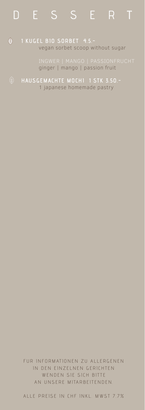# DESSERT

### $\circledA$ **1 KUGEL BIO SORBET 4.5.** vegan sorbet scoop without sugar

ginger | mango | passion fruit

**HAUSGEMACHTE MOCHI 1 STK 3.50.-** 1 japanese homemade pastry

> FUR INFORMATIONEN ZU ALLERGENEN IN DEN EINZELNEN GERICHTEN WENDEN SIE SICH BITTE AN UNSERE MITARBEITENDEN.

> ALLE PREISE IN CHF INKL. MWST 7.7%